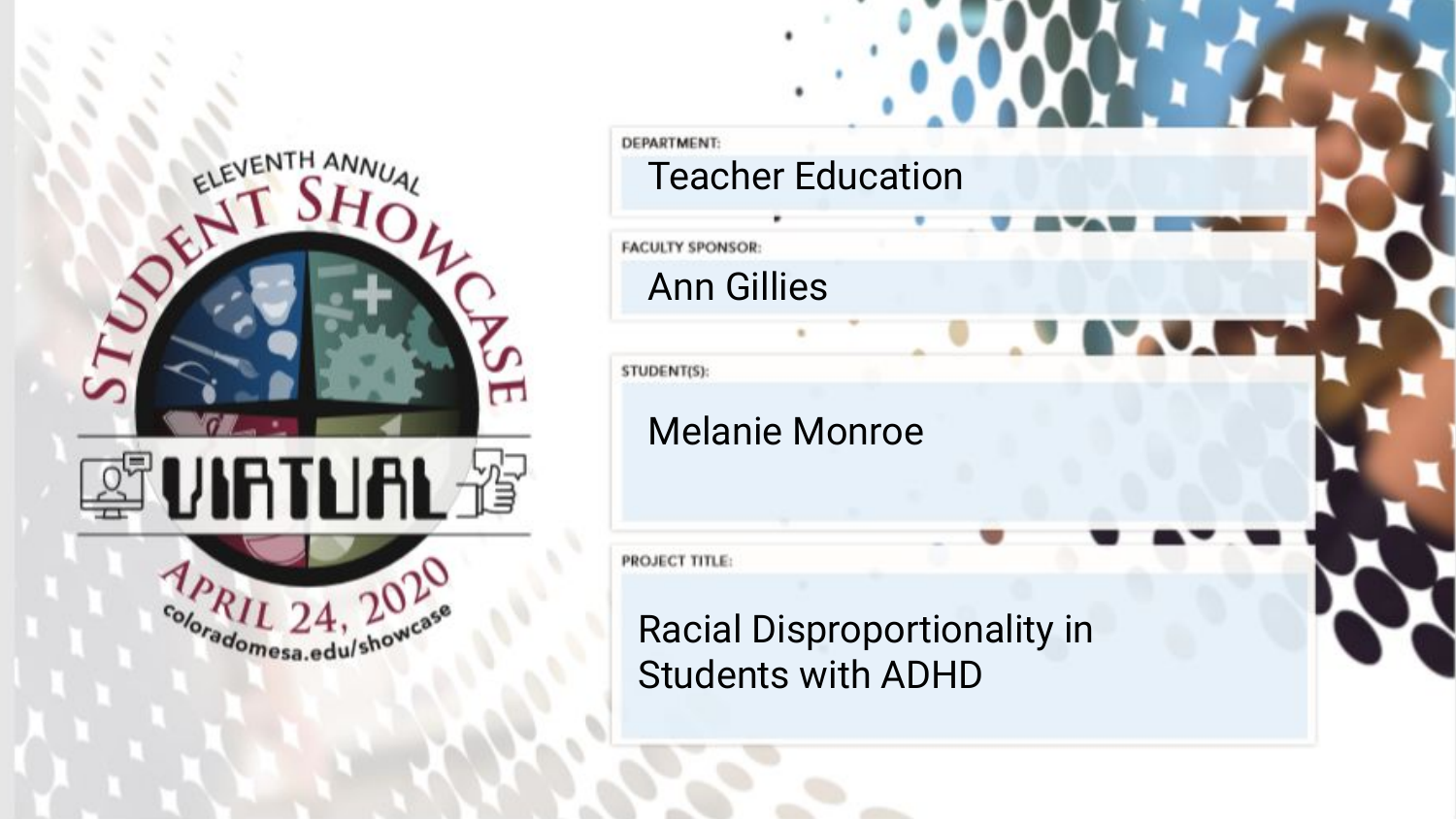

**DEPARTMENT** Teacher Education **FACULTY SPONSOR:** Ann Gillies STUDENT(S): Melanie Monroe PROJECT TITLE: Racial Disproportionality in Students with ADHD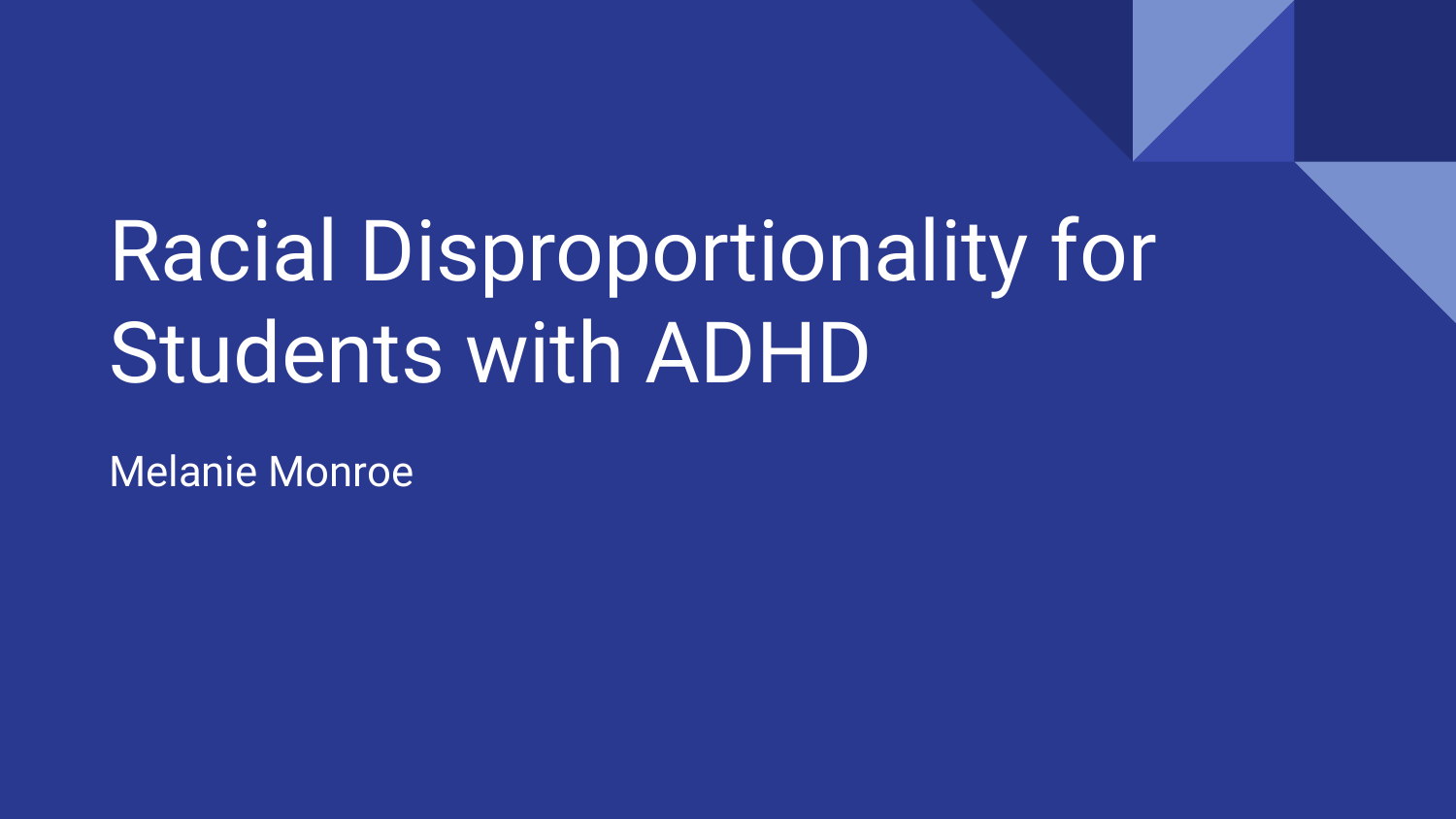# Racial Disproportionality for Students with ADHD

Melanie Monroe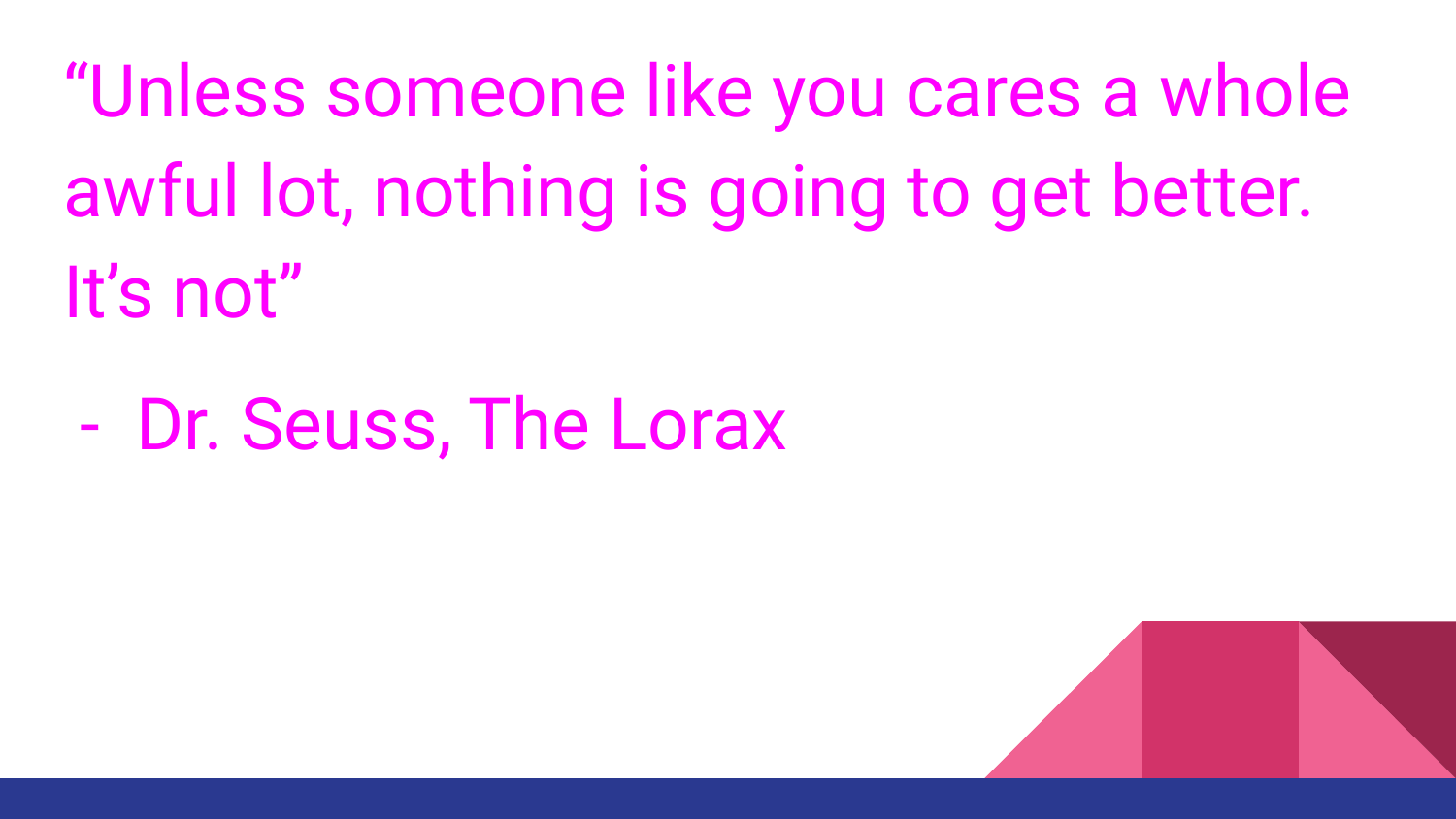"Unless someone like you cares a whole awful lot, nothing is going to get better. It's not"

- Dr. Seuss, The Lorax

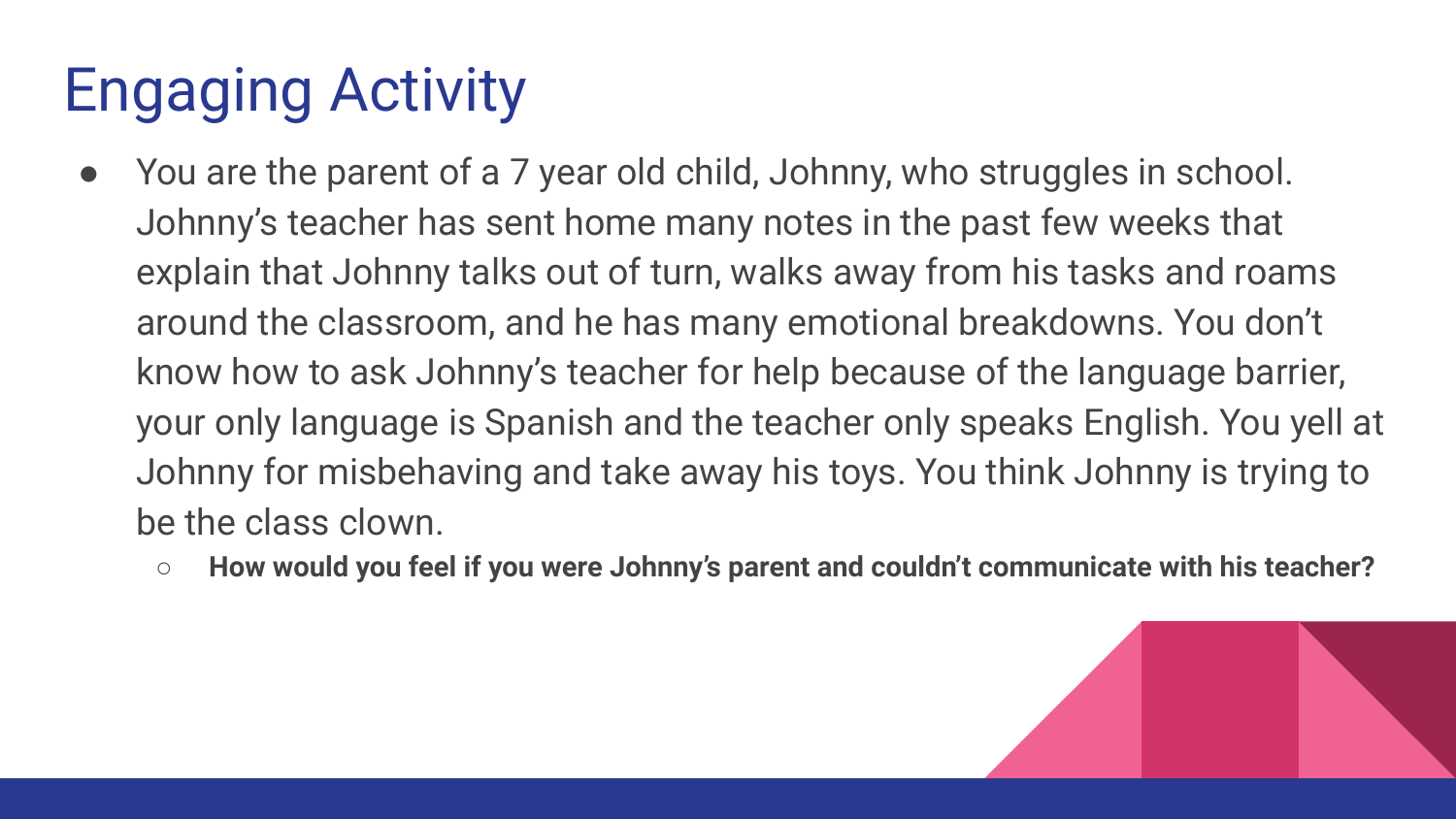# Engaging Activity

- You are the parent of a 7 year old child, Johnny, who struggles in school. Johnny's teacher has sent home many notes in the past few weeks that explain that Johnny talks out of turn, walks away from his tasks and roams around the classroom, and he has many emotional breakdowns. You don't know how to ask Johnny's teacher for help because of the language barrier, your only language is Spanish and the teacher only speaks English. You yell at Johnny for misbehaving and take away his toys. You think Johnny is trying to be the class clown.
	- **○ How would you feel if you were Johnny's parent and couldn't communicate with his teacher?**

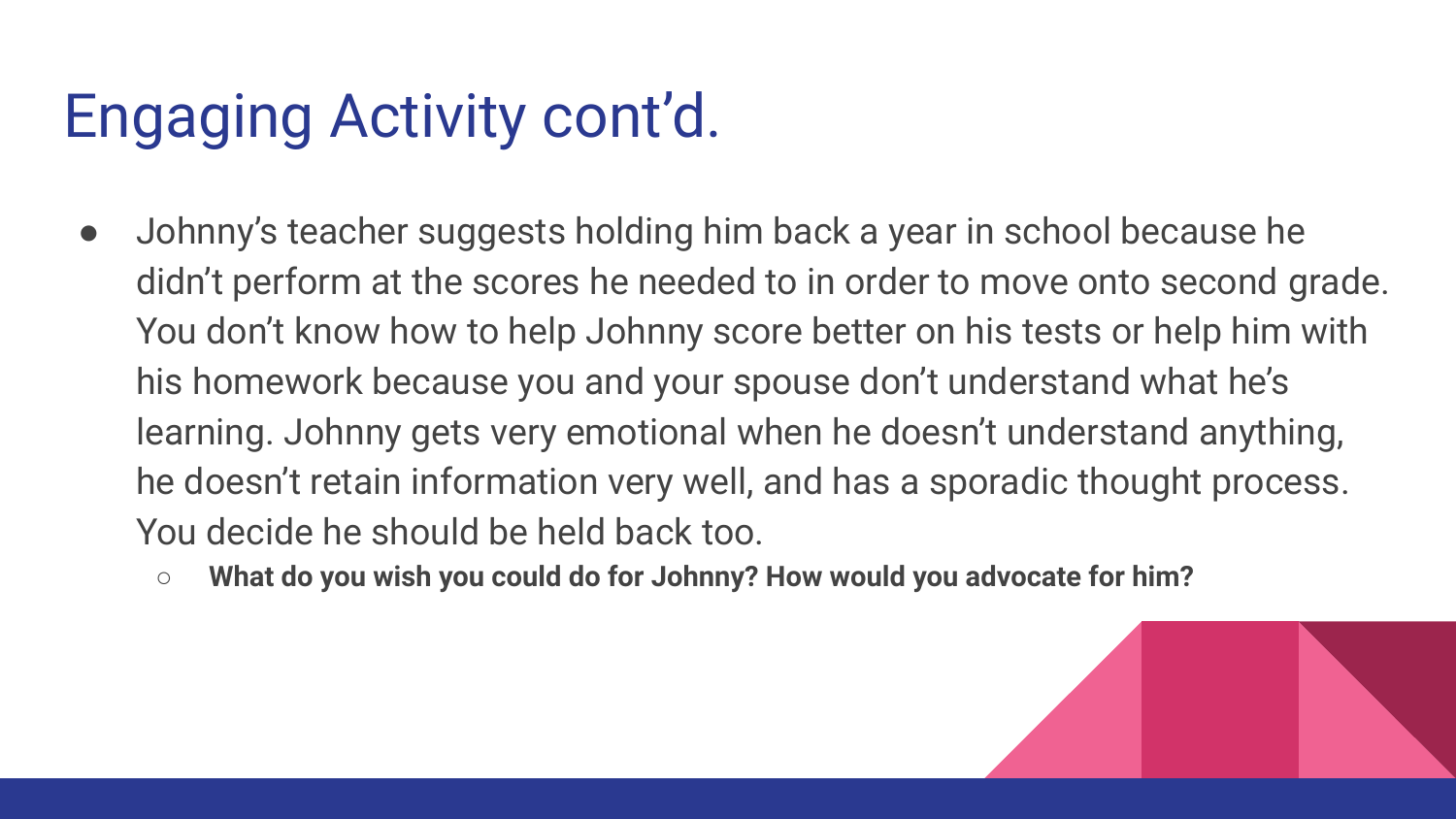# Engaging Activity cont'd.

- Johnny's teacher suggests holding him back a year in school because he didn't perform at the scores he needed to in order to move onto second grade. You don't know how to help Johnny score better on his tests or help him with his homework because you and your spouse don't understand what he's learning. Johnny gets very emotional when he doesn't understand anything, he doesn't retain information very well, and has a sporadic thought process. You decide he should be held back too.
	- **○ What do you wish you could do for Johnny? How would you advocate for him?**

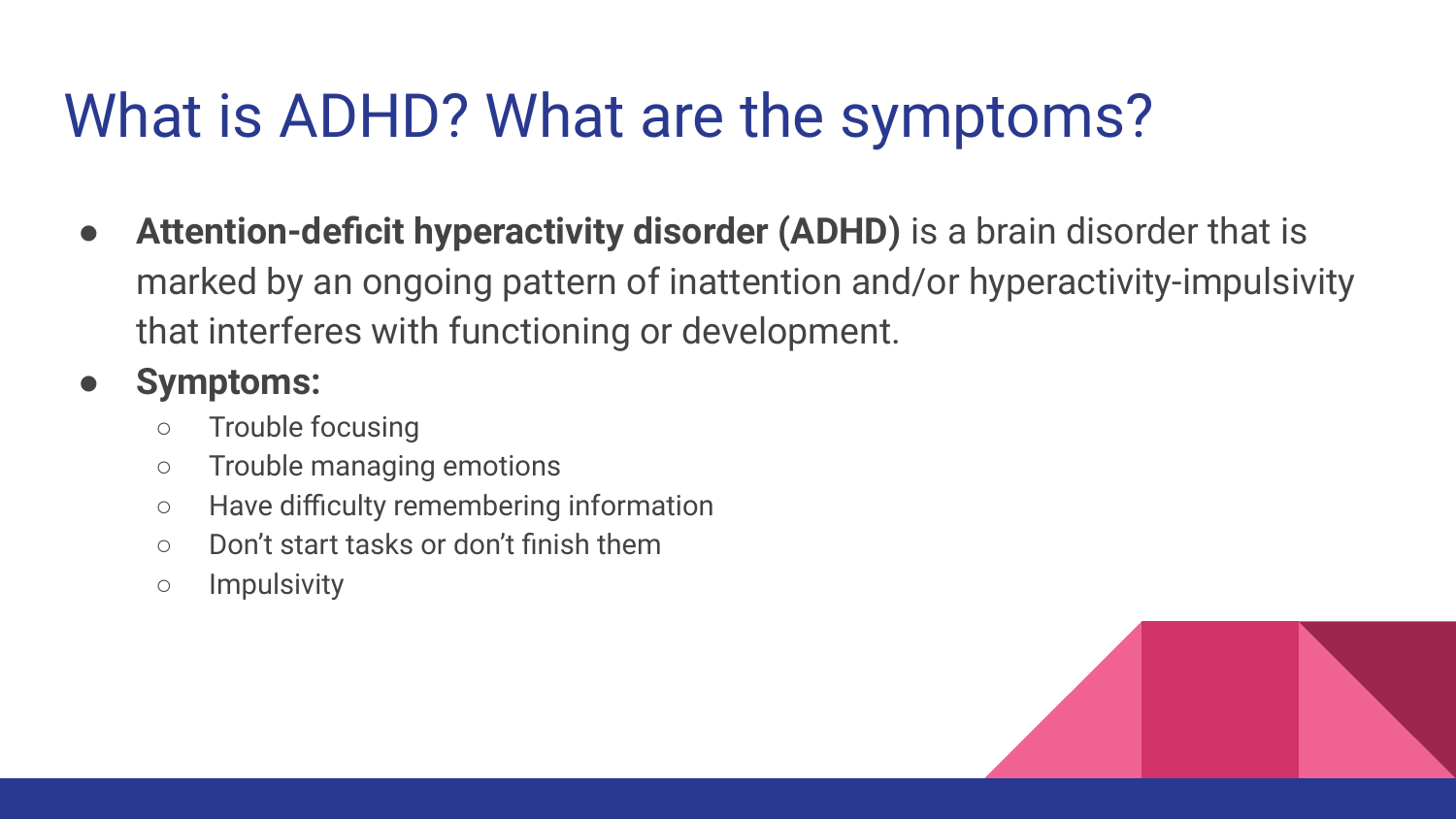# What is ADHD? What are the symptoms?

**● Attention-deficit hyperactivity disorder (ADHD)** is a brain disorder that is marked by an ongoing pattern of inattention and/or hyperactivity-impulsivity that interferes with functioning or development.

#### **● Symptoms:**

- Trouble focusing
- Trouble managing emotions
- Have difficulty remembering information
- Don't start tasks or don't finish them
- Impulsivity

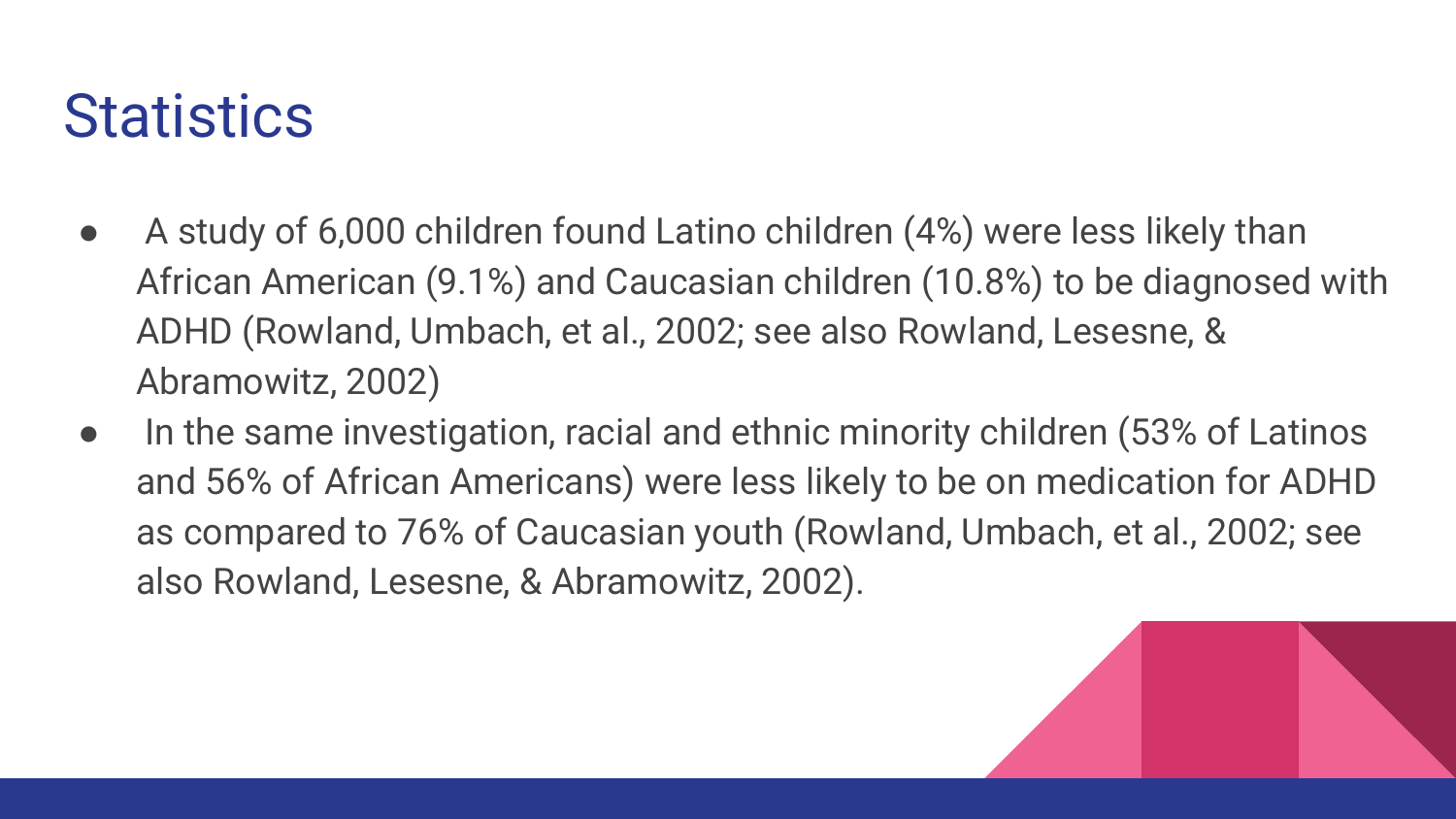#### **Statistics**

- A study of 6,000 children found Latino children (4%) were less likely than African American (9.1%) and Caucasian children (10.8%) to be diagnosed with ADHD (Rowland, Umbach, et al., 2002; see also Rowland, Lesesne, & Abramowitz, 2002)
- In the same investigation, racial and ethnic minority children (53% of Latinos and 56% of African Americans) were less likely to be on medication for ADHD as compared to 76% of Caucasian youth (Rowland, Umbach, et al., 2002; see also Rowland, Lesesne, & Abramowitz, 2002).

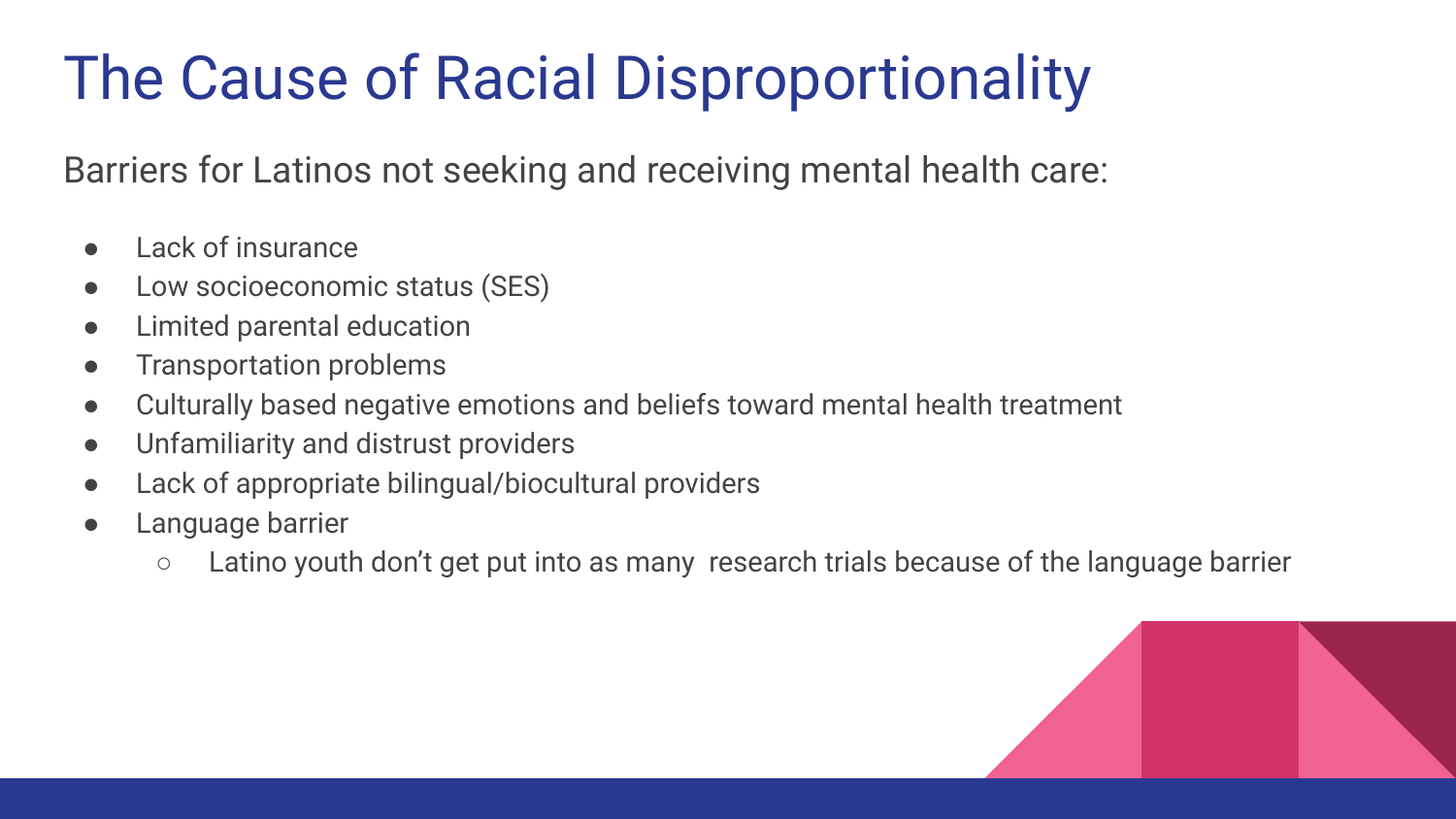# The Cause of Racial Disproportionality

Barriers for Latinos not seeking and receiving mental health care:

- Lack of insurance
- Low socioeconomic status (SES)
- Limited parental education
- Transportation problems
- Culturally based negative emotions and beliefs toward mental health treatment
- Unfamiliarity and distrust providers
- Lack of appropriate bilingual/biocultural providers
- Language barrier
	- Latino youth don't get put into as many research trials because of the language barrier

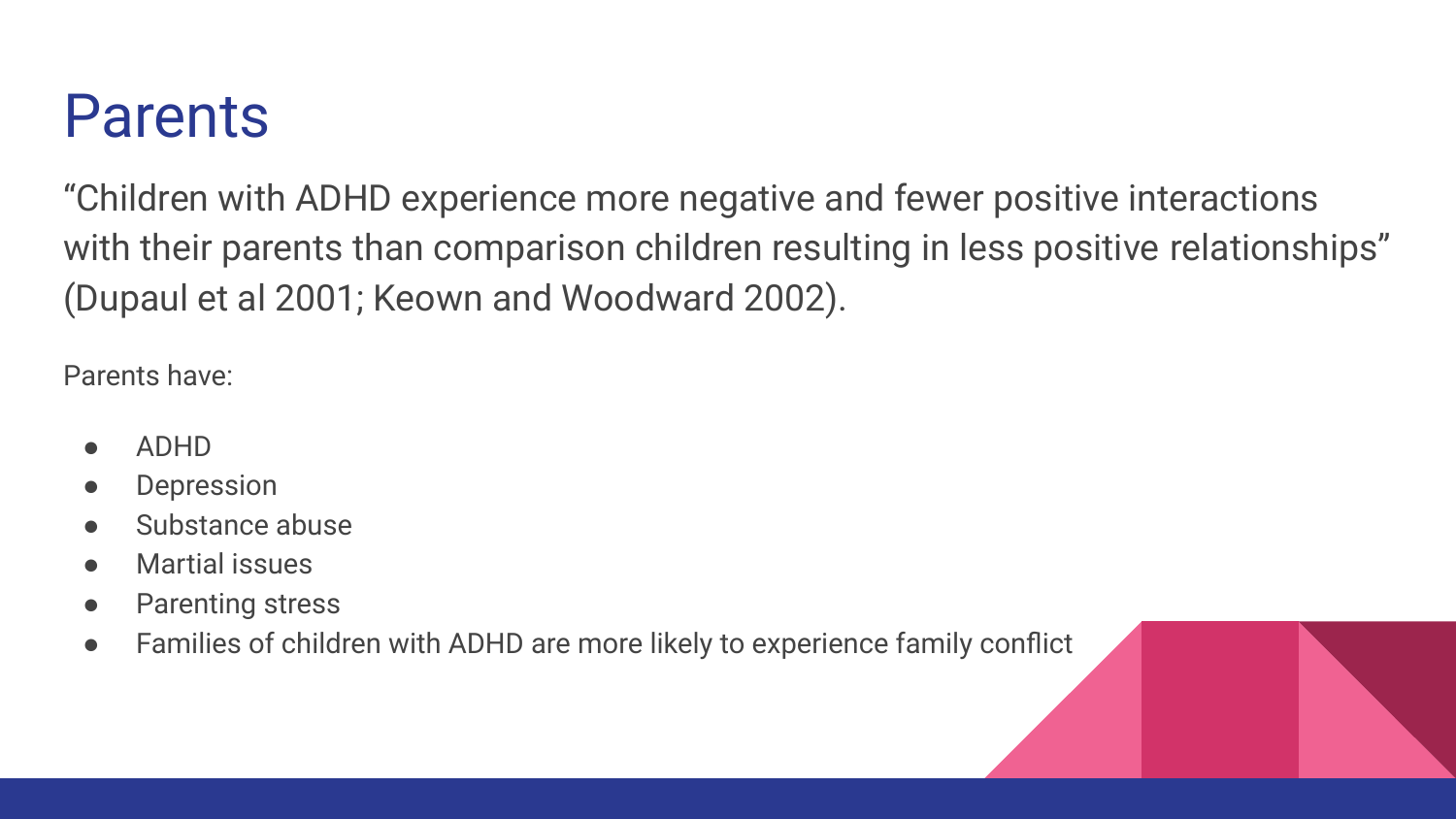#### Parents

"Children with ADHD experience more negative and fewer positive interactions with their parents than comparison children resulting in less positive relationships" (Dupaul et al 2001; Keown and Woodward 2002).

Parents have:

- ADHD
- **Depression**
- Substance abuse
- **Martial issues**
- Parenting stress
- Families of children with ADHD are more likely to experience family conflict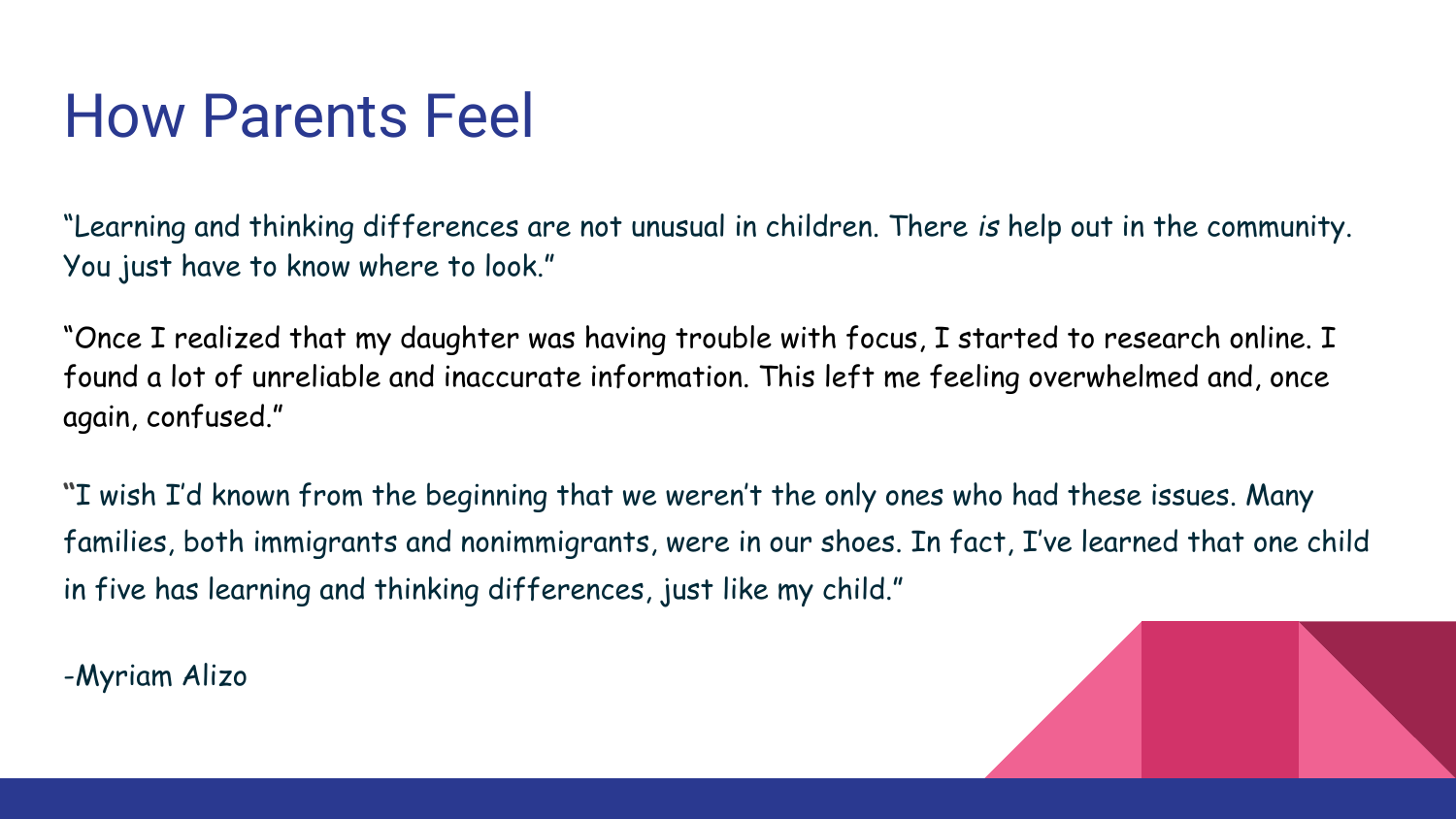### How Parents Feel

"Learning and thinking differences are not unusual in children. There *is* help out in the community. You just have to know where to look."

"Once I realized that my daughter was having [trouble with focus,](https://www.understood.org/en/learning-attention-issues/child-learning-disabilities/distractibility-inattention/understanding-your-childs-trouble-with-focus) I started to research online. I found a lot of unreliable and inaccurate information. This left me feeling overwhelmed and, once again, confused."

**"**I wish I'd known from the beginning that we weren't the only ones who had these issues. Many families, both immigrants and nonimmigrants, were in our shoes. In fact, I've learned that one child in five has learning and thinking differences, just like my child."

-Myriam Alizo

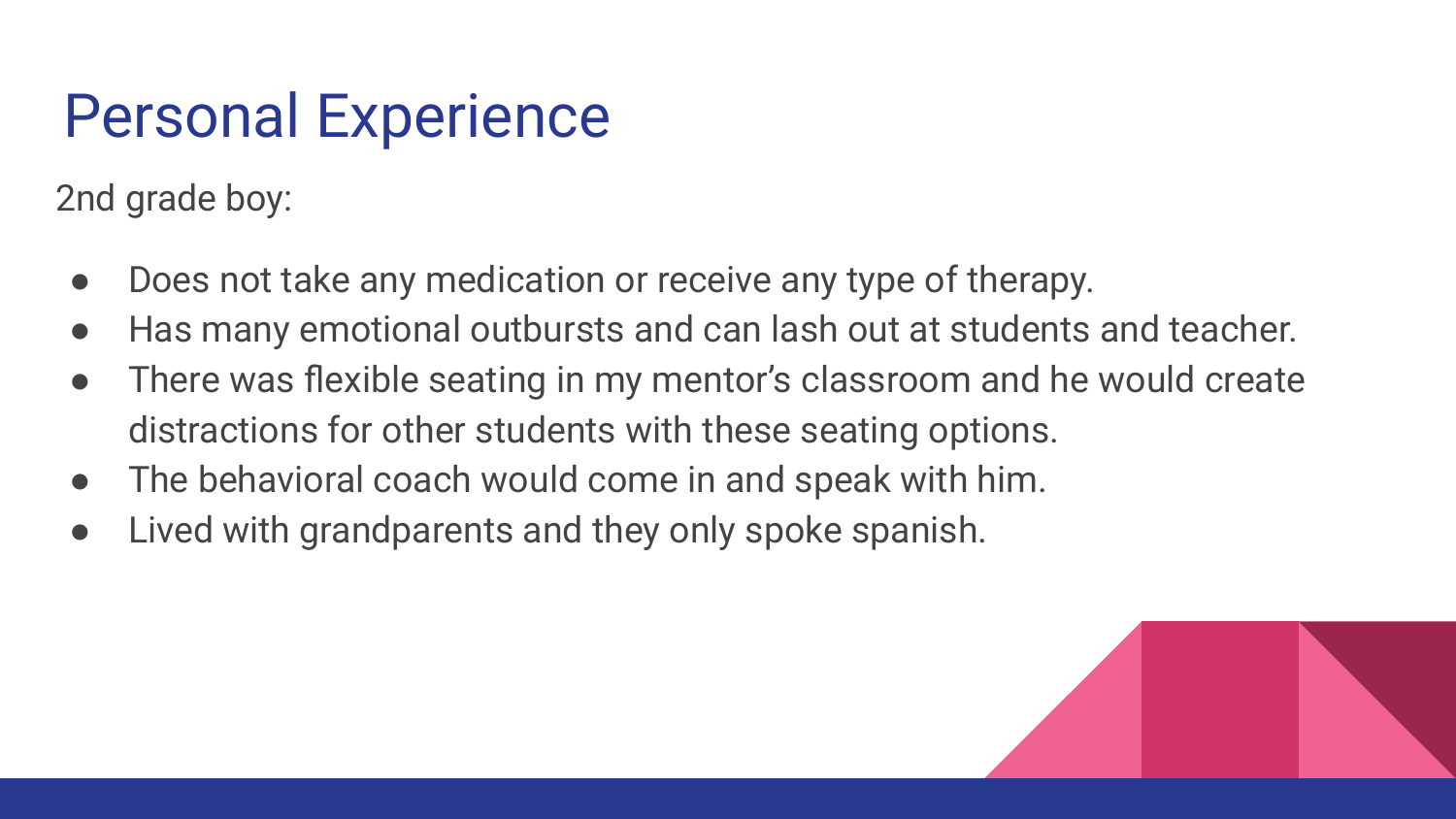## Personal Experience

2nd grade boy:

- Does not take any medication or receive any type of therapy.
- Has many emotional outbursts and can lash out at students and teacher.
- There was flexible seating in my mentor's classroom and he would create distractions for other students with these seating options.
- The behavioral coach would come in and speak with him.
- Lived with grandparents and they only spoke spanish.

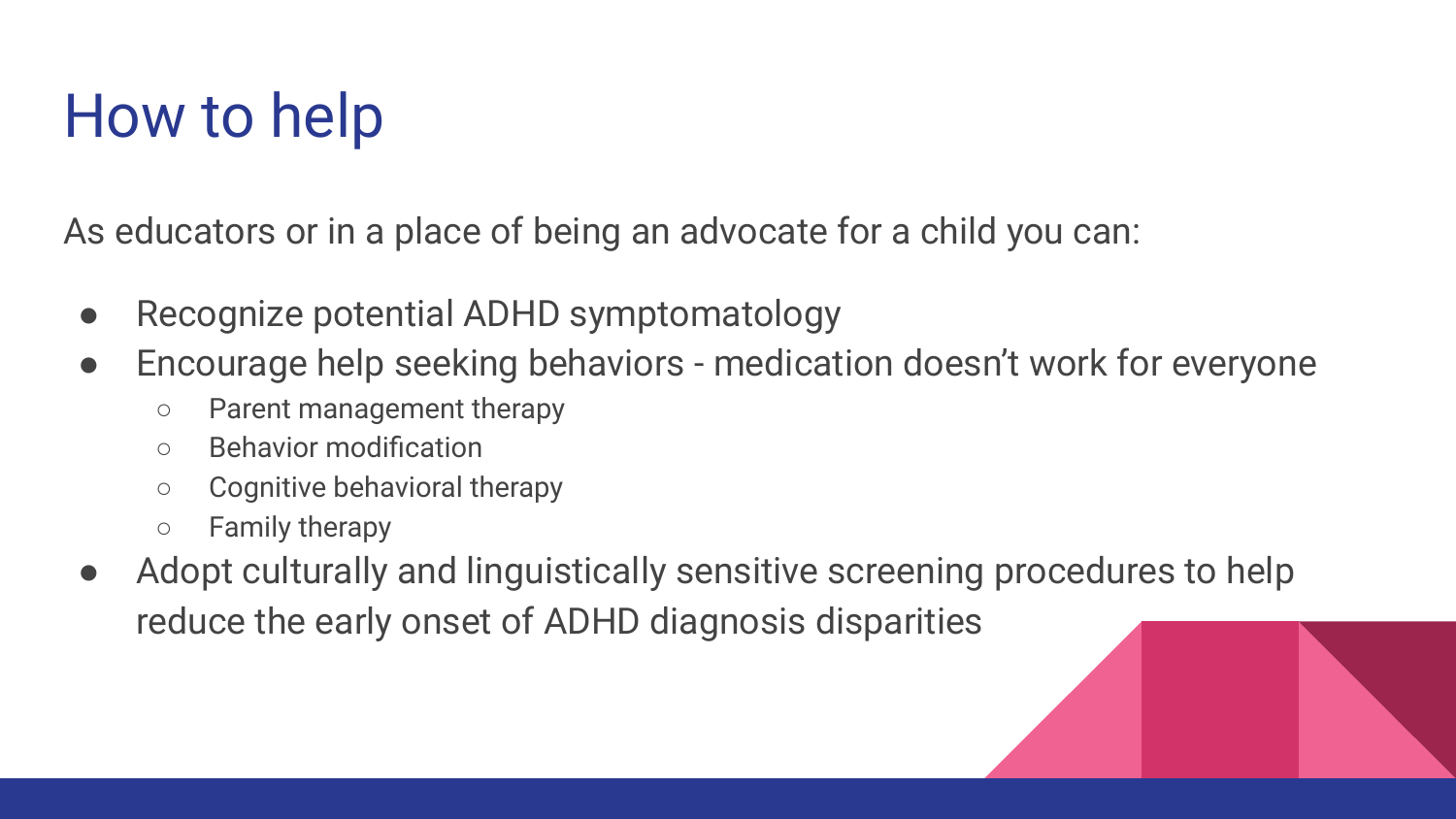# How to help

As educators or in a place of being an advocate for a child you can:

- Recognize potential ADHD symptomatology
- Encourage help seeking behaviors medication doesn't work for everyone
	- Parent management therapy
	- Behavior modification
	- Cognitive behavioral therapy
	- Family therapy
- Adopt culturally and linguistically sensitive screening procedures to help reduce the early onset of ADHD diagnosis disparities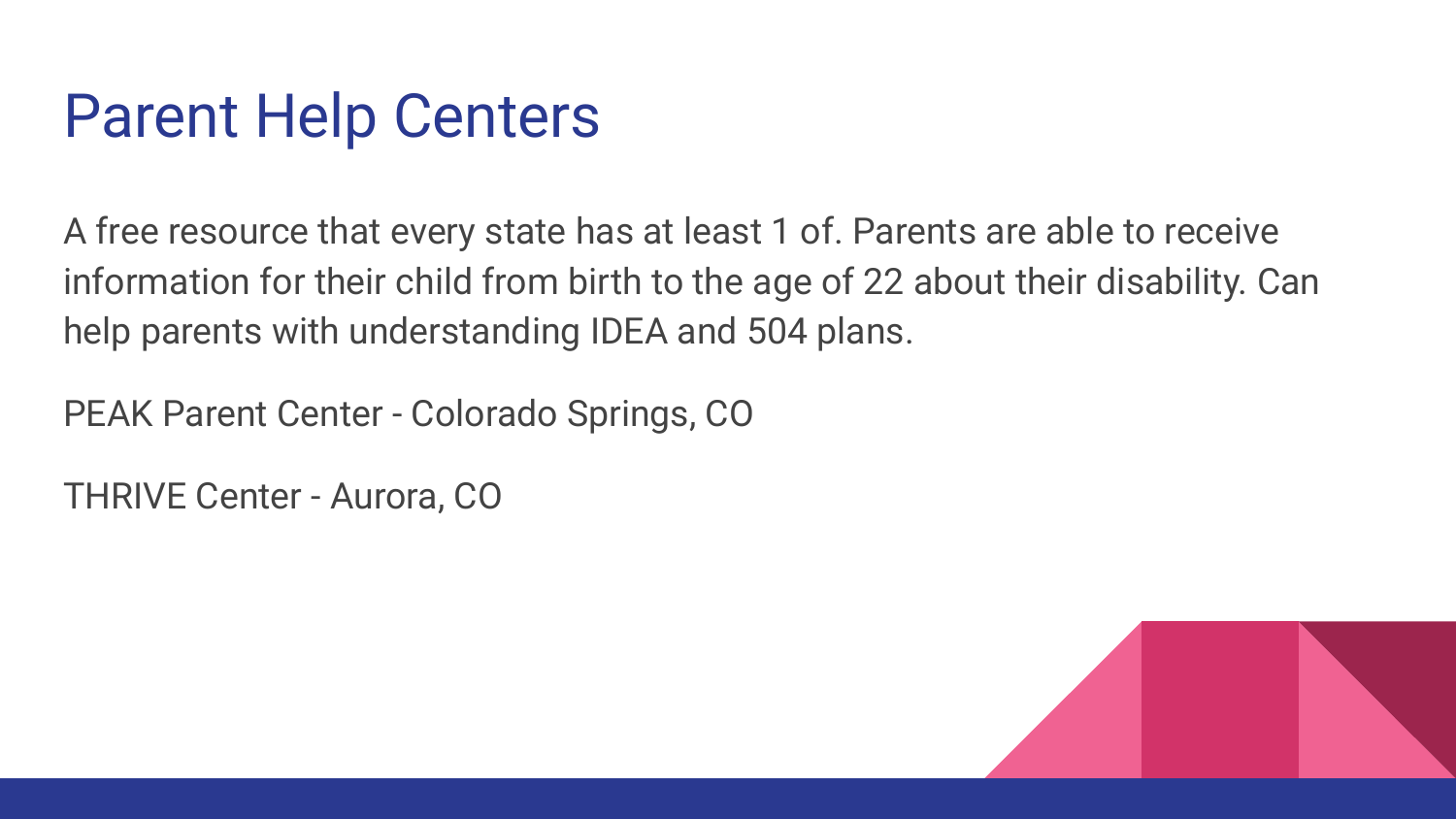#### Parent Help Centers

A free resource that every state has at least 1 of. Parents are able to receive information for their child from birth to the age of 22 about their disability. Can help parents with understanding IDEA and 504 plans.

PEAK Parent Center - Colorado Springs, CO

THRIVE Center - Aurora, CO